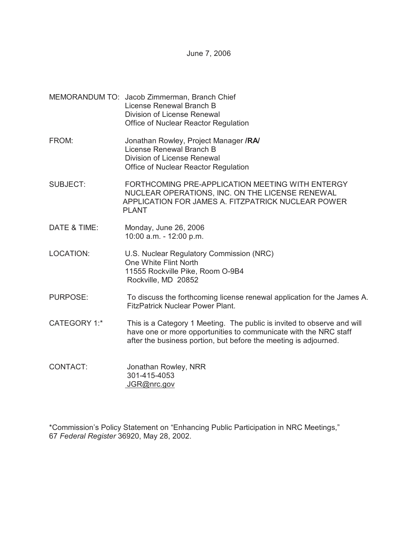June 7, 2006

- MEMORANDUM TO: Jacob Zimmerman, Branch Chief License Renewal Branch B Division of License Renewal Office of Nuclear Reactor Regulation
- FROM: Jonathan Rowley, Project Manager **/RA/** License Renewal Branch B Division of License Renewal Office of Nuclear Reactor Regulation
- SUBJECT: FORTHCOMING PRE-APPLICATION MEETING WITH ENTERGY NUCLEAR OPERATIONS, INC. ON THE LICENSE RENEWAL APPLICATION FOR JAMES A. FITZPATRICK NUCLEAR POWER PLANT
- DATE & TIME: Monday, June 26, 2006 10:00 a.m. - 12:00 p.m.
- LOCATION: U.S. Nuclear Regulatory Commission (NRC) One White Flint North 11555 Rockville Pike, Room O-9B4 Rockville, MD 20852
- PURPOSE: To discuss the forthcoming license renewal application for the James A. FitzPatrick Nuclear Power Plant.
- CATEGORY 1:\* This is a Category 1 Meeting. The public is invited to observe and will have one or more opportunities to communicate with the NRC staff after the business portion, but before the meeting is adjourned.
- CONTACT: Jonathan Rowley, NRR 301-415-4053 JGR@nrc.gov

\*Commission's Policy Statement on "Enhancing Public Participation in NRC Meetings," 67 *Federal Register* 36920, May 28, 2002.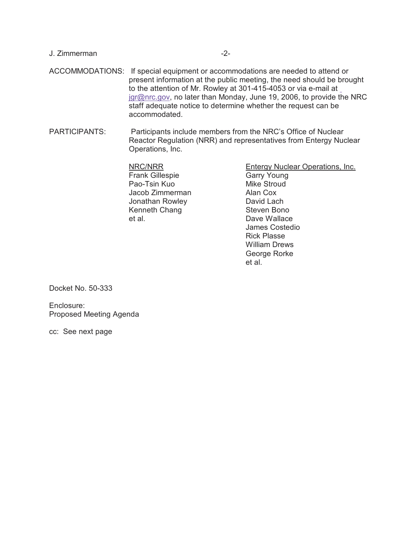|  | ACCOMMODATIONS: If special equipment or accommodations are needed to attend or<br>present information at the public meeting, the need should be brought<br>to the attention of Mr. Rowley at 301-415-4053 or via e-mail at<br>jgr@nrc.gov, no later than Monday, June 19, 2006, to provide the NRC<br>staff adequate notice to determine whether the request can be<br>accommodated. |
|--|--------------------------------------------------------------------------------------------------------------------------------------------------------------------------------------------------------------------------------------------------------------------------------------------------------------------------------------------------------------------------------------|
|--|--------------------------------------------------------------------------------------------------------------------------------------------------------------------------------------------------------------------------------------------------------------------------------------------------------------------------------------------------------------------------------------|

PARTICIPANTS: Participants include members from the NRC's Office of Nuclear Reactor Regulation (NRR) and representatives from Entergy Nuclear Operations, Inc.

> NRC/NRR Frank Gillespie Pao-Tsin Kuo Jacob Zimmerman Jonathan Rowley Kenneth Chang et al.

J. Zimmerman -2-

Entergy Nuclear Operations, Inc. Garry Young Mike Stroud Alan Cox David Lach Steven Bono Dave Wallace James Costedio Rick Plasse William Drews George Rorke et al.

Docket No. 50-333

Enclosure: Proposed Meeting Agenda

cc: See next page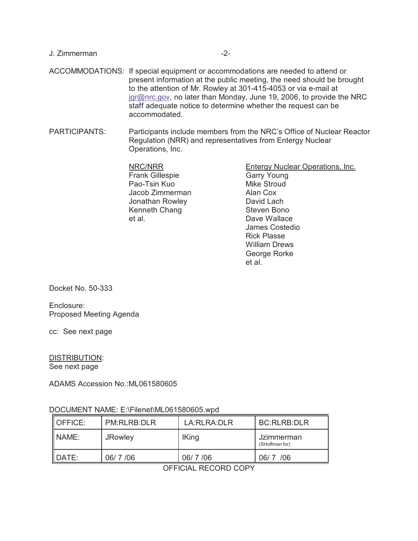# ACCOMMODATIONS: If special equipment or accommodations are needed to attend or present information at the public meeting, the need should be brought to the attention of Mr. Rowley at 301-415-4053 or via e-mail at jgr@nrc.gov, no later than Monday, June 19, 2006, to provide the NRC staff adequate notice to determine whether the request can be accommodated.

PARTICIPANTS: Participants include members from the NRC's Office of Nuclear Reactor Regulation (NRR) and representatives from Entergy Nuclear Operations, Inc.

> NRC/NRR Frank Gillespie Pao-Tsin Kuo Jacob Zimmerman Jonathan Rowley Kenneth Chang et al.

J. Zimmerman -2-

Entergy Nuclear Operations, Inc. Garry Young Mike Stroud Alan Cox David Lach Steven Bono Dave Wallace James Costedio Rick Plasse William Drews George Rorke et al.

Docket No. 50-333

Enclosure: Proposed Meeting Agenda

cc: See next page

DISTRIBUTION: See next page

ADAMS Accession No.:ML061580605

# DOCUMENT NAME: E:\Filenet\ML061580605.wpd

| IOFFICE: | PM:RLRB:DLR    | LA RLRA DLR  | BC:RLRB:DLR                  |
|----------|----------------|--------------|------------------------------|
| INAME:   | <b>JRowley</b> | <b>IKing</b> | Jzimmerman<br>(SHoffman for) |
| DATE:    | 06/7/06        | 06/7/06      | 06/7 /06                     |

OFFICIAL RECORD COPY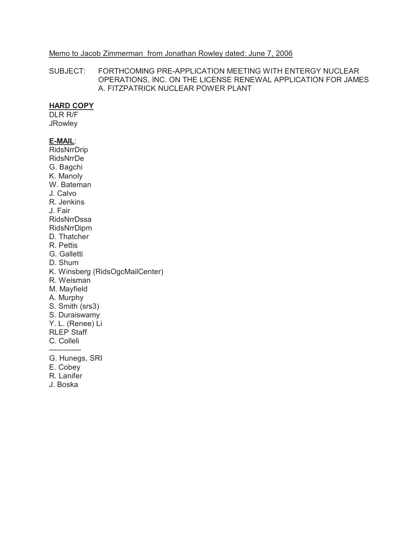#### Memo to Jacob Zimmerman from Jonathan Rowley dated: June 7, 2006

SUBJECT: FORTHCOMING PRE-APPLICATION MEETING WITH ENTERGY NUCLEAR OPERATIONS, INC. ON THE LICENSE RENEWAL APPLICATION FOR JAMES A. FITZPATRICK NUCLEAR POWER PLANT

# **HARD COPY**

DLR R/F **JRowley** 

#### **E-MAIL**:

RidsNrrDrip RidsNrrDe G. Bagchi K. Manoly W. Bateman J. Calvo R. Jenkins J. Fair RidsNrrDssa RidsNrrDipm D. Thatcher R. Pettis G. Galletti D. Shum K. Winsberg (RidsOgcMailCenter) R. Weisman M. Mayfield A. Murphy S. Smith (srs3) S. Duraiswamy Y. L. (Renee) Li RLEP Staff C. Colleli G. Hunegs, SRI E. Cobey

- 
- R. Lanifer
- J. Boska